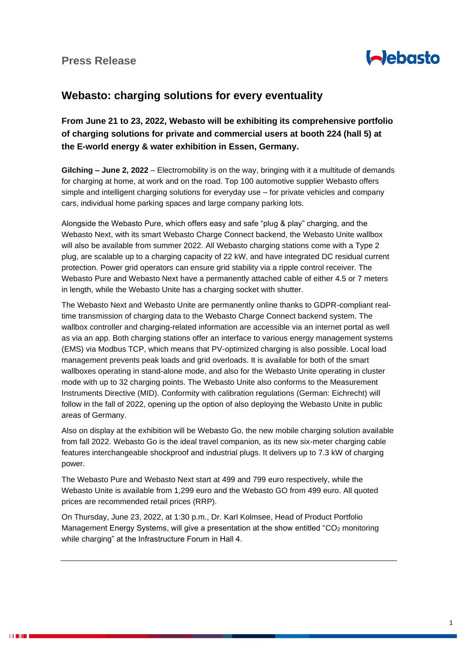

## **Webasto: charging solutions for every eventuality**

**From June 21 to 23, 2022, Webasto will be exhibiting its comprehensive portfolio of charging solutions for private and commercial users at booth 224 (hall 5) at the E-world energy & water exhibition in Essen, Germany.**

**Gilching – June 2, 2022** – Electromobility is on the way, bringing with it a multitude of demands for charging at home, at work and on the road. Top 100 automotive supplier Webasto offers simple and intelligent charging solutions for everyday use – for private vehicles and company cars, individual home parking spaces and large company parking lots.

Alongside the Webasto Pure, which offers easy and safe "plug & play" charging, and the Webasto Next, with its smart Webasto Charge Connect backend, the Webasto Unite wallbox will also be available from summer 2022. All Webasto charging stations come with a Type 2 plug, are scalable up to a charging capacity of 22 kW, and have integrated DC residual current protection. Power grid operators can ensure grid stability via a ripple control receiver. The Webasto Pure and Webasto Next have a permanently attached cable of either 4.5 or 7 meters in length, while the Webasto Unite has a charging socket with shutter.

The Webasto Next and Webasto Unite are permanently online thanks to GDPR-compliant realtime transmission of charging data to the Webasto Charge Connect backend system. The wallbox controller and charging-related information are accessible via an internet portal as well as via an app. Both charging stations offer an interface to various energy management systems (EMS) via Modbus TCP, which means that PV-optimized charging is also possible. Local load management prevents peak loads and grid overloads. It is available for both of the smart wallboxes operating in stand-alone mode, and also for the Webasto Unite operating in cluster mode with up to 32 charging points. The Webasto Unite also conforms to the Measurement Instruments Directive (MID). Conformity with calibration regulations (German: Eichrecht) will follow in the fall of 2022, opening up the option of also deploying the Webasto Unite in public areas of Germany.

Also on display at the exhibition will be Webasto Go, the new mobile charging solution available from fall 2022. Webasto Go is the ideal travel companion, as its new six-meter charging cable features interchangeable shockproof and industrial plugs. It delivers up to 7.3 kW of charging power.

The Webasto Pure and Webasto Next start at 499 and 799 euro respectively, while the Webasto Unite is available from 1,299 euro and the Webasto GO from 499 euro. All quoted prices are recommended retail prices (RRP).

On Thursday, June 23, 2022, at 1:30 p.m., Dr. Karl Kolmsee, Head of Product Portfolio Management Energy Systems, will give a presentation at the show entitled "CO<sub>2</sub> monitoring while charging" at the Infrastructure Forum in Hall 4.